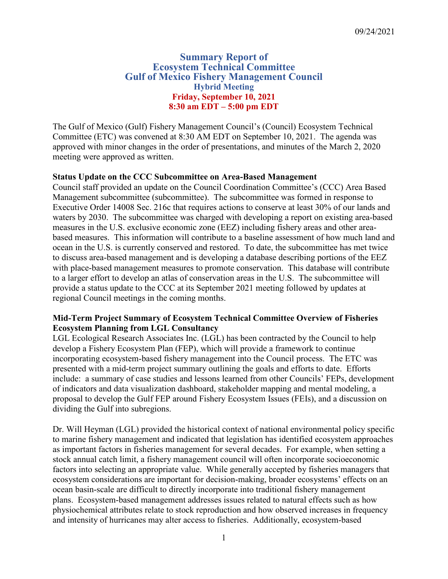# **Summary Report of Ecosystem Technical Committee Gulf of Mexico Fishery Management Council Hybrid Meeting Friday, September 10, 2021 8:30 am EDT – 5:00 pm EDT**

The Gulf of Mexico (Gulf) Fishery Management Council's (Council) Ecosystem Technical Committee (ETC) was convened at 8:30 AM EDT on September 10, 2021. The agenda was approved with minor changes in the order of presentations, and minutes of the March 2, 2020 meeting were approved as written.

# **Status Update on the CCC Subcommittee on Area-Based Management**

Council staff provided an update on the Council Coordination Committee's (CCC) Area Based Management subcommittee (subcommittee). The subcommittee was formed in response to Executive Order 14008 Sec. 216c that requires actions to conserve at least 30% of our lands and waters by 2030. The subcommittee was charged with developing a report on existing area-based measures in the U.S. exclusive economic zone (EEZ) including fishery areas and other areabased measures. This information will contribute to a baseline assessment of how much land and ocean in the U.S. is currently conserved and restored. To date, the subcommittee has met twice to discuss area-based management and is developing a database describing portions of the EEZ with place-based management measures to promote conservation. This database will contribute to a larger effort to develop an atlas of conservation areas in the U.S. The subcommittee will provide a status update to the CCC at its September 2021 meeting followed by updates at regional Council meetings in the coming months.

## **Mid-Term Project Summary of Ecosystem Technical Committee Overview of Fisheries Ecosystem Planning from LGL Consultancy**

LGL Ecological Research Associates Inc. (LGL) has been contracted by the Council to help develop a Fishery Ecosystem Plan (FEP), which will provide a framework to continue incorporating ecosystem-based fishery management into the Council process. The ETC was presented with a mid-term project summary outlining the goals and efforts to date. Efforts include: a summary of case studies and lessons learned from other Councils' FEPs, development of indicators and data visualization dashboard, stakeholder mapping and mental modeling, a proposal to develop the Gulf FEP around Fishery Ecosystem Issues (FEIs), and a discussion on dividing the Gulf into subregions.

Dr. Will Heyman (LGL) provided the historical context of national environmental policy specific to marine fishery management and indicated that legislation has identified ecosystem approaches as important factors in fisheries management for several decades. For example, when setting a stock annual catch limit, a fishery management council will often incorporate socioeconomic factors into selecting an appropriate value. While generally accepted by fisheries managers that ecosystem considerations are important for decision-making, broader ecosystems' effects on an ocean basin-scale are difficult to directly incorporate into traditional fishery management plans. Ecosystem-based management addresses issues related to natural effects such as how physiochemical attributes relate to stock reproduction and how observed increases in frequency and intensity of hurricanes may alter access to fisheries. Additionally, ecosystem-based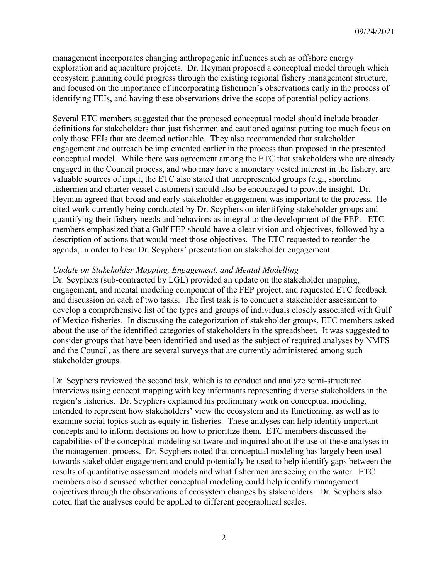management incorporates changing anthropogenic influences such as offshore energy exploration and aquaculture projects. Dr. Heyman proposed a conceptual model through which ecosystem planning could progress through the existing regional fishery management structure, and focused on the importance of incorporating fishermen's observations early in the process of identifying FEIs, and having these observations drive the scope of potential policy actions.

Several ETC members suggested that the proposed conceptual model should include broader definitions for stakeholders than just fishermen and cautioned against putting too much focus on only those FEIs that are deemed actionable. They also recommended that stakeholder engagement and outreach be implemented earlier in the process than proposed in the presented conceptual model. While there was agreement among the ETC that stakeholders who are already engaged in the Council process, and who may have a monetary vested interest in the fishery, are valuable sources of input, the ETC also stated that unrepresented groups (e.g., shoreline fishermen and charter vessel customers) should also be encouraged to provide insight. Dr. Heyman agreed that broad and early stakeholder engagement was important to the process. He cited work currently being conducted by Dr. Scyphers on identifying stakeholder groups and quantifying their fishery needs and behaviors as integral to the development of the FEP. ETC members emphasized that a Gulf FEP should have a clear vision and objectives, followed by a description of actions that would meet those objectives. The ETC requested to reorder the agenda, in order to hear Dr. Scyphers' presentation on stakeholder engagement.

#### *Update on Stakeholder Mapping, Engagement, and Mental Modelling*

Dr. Scyphers (sub-contracted by LGL) provided an update on the stakeholder mapping, engagement, and mental modeling component of the FEP project, and requested ETC feedback and discussion on each of two tasks. The first task is to conduct a stakeholder assessment to develop a comprehensive list of the types and groups of individuals closely associated with Gulf of Mexico fisheries. In discussing the categorization of stakeholder groups, ETC members asked about the use of the identified categories of stakeholders in the spreadsheet. It was suggested to consider groups that have been identified and used as the subject of required analyses by NMFS and the Council, as there are several surveys that are currently administered among such stakeholder groups.

Dr. Scyphers reviewed the second task, which is to conduct and analyze semi-structured interviews using concept mapping with key informants representing diverse stakeholders in the region's fisheries. Dr. Scyphers explained his preliminary work on conceptual modeling, intended to represent how stakeholders' view the ecosystem and its functioning, as well as to examine social topics such as equity in fisheries. These analyses can help identify important concepts and to inform decisions on how to prioritize them. ETC members discussed the capabilities of the conceptual modeling software and inquired about the use of these analyses in the management process. Dr. Scyphers noted that conceptual modeling has largely been used towards stakeholder engagement and could potentially be used to help identify gaps between the results of quantitative assessment models and what fishermen are seeing on the water. ETC members also discussed whether conceptual modeling could help identify management objectives through the observations of ecosystem changes by stakeholders. Dr. Scyphers also noted that the analyses could be applied to different geographical scales.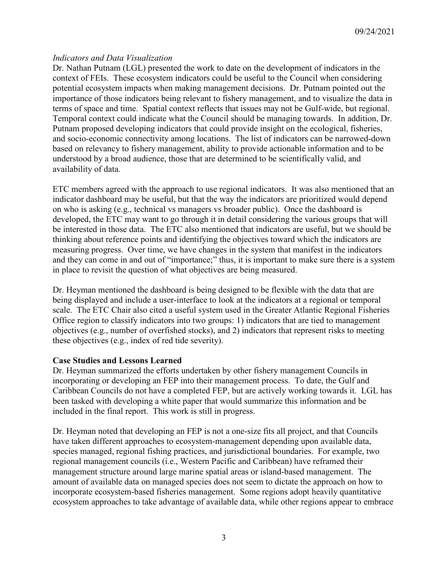# *Indicators and Data Visualization*

Dr. Nathan Putnam (LGL) presented the work to date on the development of indicators in the context of FEIs. These ecosystem indicators could be useful to the Council when considering potential ecosystem impacts when making management decisions. Dr. Putnam pointed out the importance of those indicators being relevant to fishery management, and to visualize the data in terms of space and time. Spatial context reflects that issues may not be Gulf-wide, but regional. Temporal context could indicate what the Council should be managing towards. In addition, Dr. Putnam proposed developing indicators that could provide insight on the ecological, fisheries, and socio-economic connectivity among locations. The list of indicators can be narrowed-down based on relevancy to fishery management, ability to provide actionable information and to be understood by a broad audience, those that are determined to be scientifically valid, and availability of data.

ETC members agreed with the approach to use regional indicators. It was also mentioned that an indicator dashboard may be useful, but that the way the indicators are prioritized would depend on who is asking (e.g., technical vs managers vs broader public). Once the dashboard is developed, the ETC may want to go through it in detail considering the various groups that will be interested in those data. The ETC also mentioned that indicators are useful, but we should be thinking about reference points and identifying the objectives toward which the indicators are measuring progress. Over time, we have changes in the system that manifest in the indicators and they can come in and out of "importance;" thus, it is important to make sure there is a system in place to revisit the question of what objectives are being measured.

Dr. Heyman mentioned the dashboard is being designed to be flexible with the data that are being displayed and include a user-interface to look at the indicators at a regional or temporal scale. The ETC Chair also cited a useful system used in the Greater Atlantic Regional Fisheries Office region to classify indicators into two groups: 1) indicators that are tied to management objectives (e.g., number of overfished stocks), and 2) indicators that represent risks to meeting these objectives (e.g., index of red tide severity).

## **Case Studies and Lessons Learned**

Dr. Heyman summarized the efforts undertaken by other fishery management Councils in incorporating or developing an FEP into their management process. To date, the Gulf and Caribbean Councils do not have a completed FEP, but are actively working towards it. LGL has been tasked with developing a white paper that would summarize this information and be included in the final report. This work is still in progress.

Dr. Heyman noted that developing an FEP is not a one-size fits all project, and that Councils have taken different approaches to ecosystem-management depending upon available data, species managed, regional fishing practices, and jurisdictional boundaries. For example, two regional management councils (i.e., Western Pacific and Caribbean) have reframed their management structure around large marine spatial areas or island-based management. The amount of available data on managed species does not seem to dictate the approach on how to incorporate ecosystem-based fisheries management. Some regions adopt heavily quantitative ecosystem approaches to take advantage of available data, while other regions appear to embrace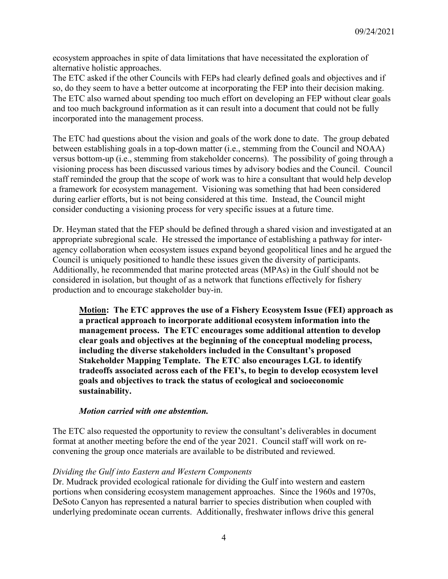ecosystem approaches in spite of data limitations that have necessitated the exploration of alternative holistic approaches.

The ETC asked if the other Councils with FEPs had clearly defined goals and objectives and if so, do they seem to have a better outcome at incorporating the FEP into their decision making. The ETC also warned about spending too much effort on developing an FEP without clear goals and too much background information as it can result into a document that could not be fully incorporated into the management process.

The ETC had questions about the vision and goals of the work done to date. The group debated between establishing goals in a top-down matter (i.e., stemming from the Council and NOAA) versus bottom-up (i.e., stemming from stakeholder concerns). The possibility of going through a visioning process has been discussed various times by advisory bodies and the Council. Council staff reminded the group that the scope of work was to hire a consultant that would help develop a framework for ecosystem management. Visioning was something that had been considered during earlier efforts, but is not being considered at this time. Instead, the Council might consider conducting a visioning process for very specific issues at a future time.

Dr. Heyman stated that the FEP should be defined through a shared vision and investigated at an appropriate subregional scale. He stressed the importance of establishing a pathway for interagency collaboration when ecosystem issues expand beyond geopolitical lines and he argued the Council is uniquely positioned to handle these issues given the diversity of participants. Additionally, he recommended that marine protected areas (MPAs) in the Gulf should not be considered in isolation, but thought of as a network that functions effectively for fishery production and to encourage stakeholder buy-in.

**Motion: The ETC approves the use of a Fishery Ecosystem Issue (FEI) approach as a practical approach to incorporate additional ecosystem information into the management process. The ETC encourages some additional attention to develop clear goals and objectives at the beginning of the conceptual modeling process, including the diverse stakeholders included in the Consultant's proposed Stakeholder Mapping Template. The ETC also encourages LGL to identify tradeoffs associated across each of the FEI's, to begin to develop ecosystem level goals and objectives to track the status of ecological and socioeconomic sustainability.**

#### *Motion carried with one abstention.*

The ETC also requested the opportunity to review the consultant's deliverables in document format at another meeting before the end of the year 2021. Council staff will work on reconvening the group once materials are available to be distributed and reviewed.

#### *Dividing the Gulf into Eastern and Western Components*

Dr. Mudrack provided ecological rationale for dividing the Gulf into western and eastern portions when considering ecosystem management approaches. Since the 1960s and 1970s, DeSoto Canyon has represented a natural barrier to species distribution when coupled with underlying predominate ocean currents. Additionally, freshwater inflows drive this general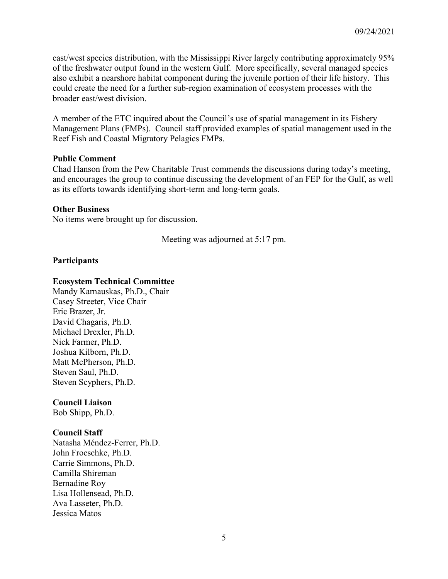east/west species distribution, with the Mississippi River largely contributing approximately 95% of the freshwater output found in the western Gulf. More specifically, several managed species also exhibit a nearshore habitat component during the juvenile portion of their life history. This could create the need for a further sub-region examination of ecosystem processes with the broader east/west division.

A member of the ETC inquired about the Council's use of spatial management in its Fishery Management Plans (FMPs). Council staff provided examples of spatial management used in the Reef Fish and Coastal Migratory Pelagics FMPs.

#### **Public Comment**

Chad Hanson from the Pew Charitable Trust commends the discussions during today's meeting, and encourages the group to continue discussing the development of an FEP for the Gulf, as well as its efforts towards identifying short-term and long-term goals.

#### **Other Business**

No items were brought up for discussion.

Meeting was adjourned at 5:17 pm.

#### **Participants**

#### **Ecosystem Technical Committee**

Mandy Karnauskas, Ph.D., Chair Casey Streeter, Vice Chair Eric Brazer, Jr. David Chagaris, Ph.D. Michael Drexler, Ph.D. Nick Farmer, Ph.D. Joshua Kilborn, Ph.D. Matt McPherson, Ph.D. Steven Saul, Ph.D. Steven Scyphers, Ph.D.

#### **Council Liaison**

Bob Shipp, Ph.D.

#### **Council Staff**

Natasha Méndez-Ferrer, Ph.D. John Froeschke, Ph.D. Carrie Simmons, Ph.D. Camilla Shireman Bernadine Roy Lisa Hollensead, Ph.D. Ava Lasseter, Ph.D. Jessica Matos